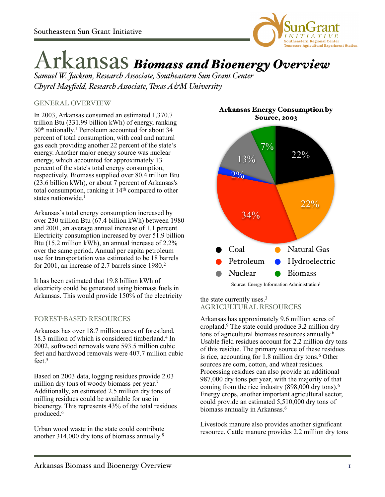

# Arkansas *Biomass and Bioenergy Overview*

*Samuel W. Jackson, Research Associate, Southeastern Sun Grant Center Chyrel Mayfield, Research Associate, Texas A&M University*

### GENERAL OVERVIEW

In 2003, Arkansas consumed an estimated 1,370.7 trillion Btu (331.99 billion kWh) of energy, ranking 30th nationally. 1 Petroleum accounted for about 34 percent of total consumption, with coal and natural gas each providing another 22 percent of the state's energy. Another major energy source was nuclear energy, which accounted for approximately 13 percent of the state's total energy consumption, respectively. Biomass supplied over 80.4 trillion Btu (23.6 billion kWh), or about 7 percent of Arkansas's total consumption, ranking it  $14<sup>th</sup>$  compared to other states nationwide.<sup>1</sup>

Arkansas's total energy consumption increased by over 230 trillion Btu (67.4 billion kWh) between 1980 and 2001, an average annual increase of 1.1 percent. Electricity consumption increased by over  $51.9$  billion Btu (15.2 million kWh), an annual increase of 2.2% over the same period. Annual per capita petroleum use for transportation was estimated to be 18 barrels for 2001, an increase of 2.7 barrels since 1980.2

It has been estimated that 19.8 billion kWh of electricity could be generated using biomass fuels in Arkansas. This would provide  $150\%$  of the electricity the state currently uses.<sup>3</sup>

### FOREST-BASED RESOURCES

Arkansas has over 18.7 million acres of forestland, 18.3 million of which is considered timberland.<sup>4</sup> In 2002, softwood removals were 593.5 million cubic feet and hardwood removals were 407.7 million cubic feet.<sup>5</sup>

Based on 2003 data, logging residues provide 2.03 million dry tons of woody biomass per year. 7 Additionally, an estimated 2.5 million dry tons of milling residues could be available for use in bioenergy. This represents 43% of the total residues produced.6

Urban wood waste in the state could contribute another 314,000 dry tons of biomass annually. 8

Arkansas Energy Consumption by Source, 2003



## AGRICULTURAL RESOURCES

Arkansas has approximately 9.6 million acres of cropland.9 The state could produce 3.2 million dry tons of agricultural biomass resources annually. 6 Usable field residues account for 2.2 million dry tons of this residue. The primary source of these residues is rice, accounting for 1.8 million dry tons.<sup>6</sup> Other sources are corn, cotton, and wheat residues. Processing residues can also provide an additional 987,000 dry tons per year, with the majority of that coming from the rice industry (898,000 dry tons).6 Energy crops, another important agricultural sector, could provide an estimated 5,510,000 dry tons of biomass annually in Arkansas.<sup>6</sup>

Livestock manure also provides another significant resource. Cattle manure provides 2.2 million dry tons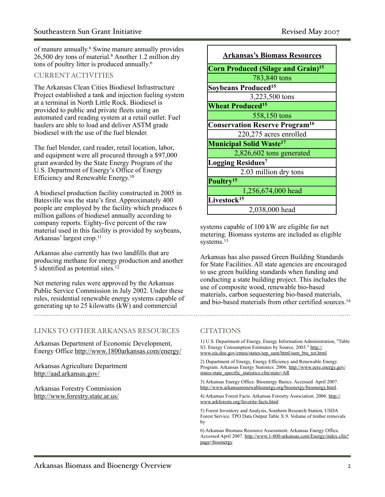of manure annually. 6 Swine manure annually provides 26,500 dry tons of material.6 Another 1.2 million dry tons of poultry litter is produced annually. 6

### CURRENT ACTIVITIES

The Arkansas Clean Cities Biodiesel Infrastructure Project established a tank and injection fueling system at a terminal in North Little Rock. Biodiesel is provided to public and private fleets using an automated card reading system at a retail outlet. Fuel haulers are able to load and deliver ASTM grade biodiesel with the use of the fuel blender.

The fuel blender, card reader, retail location, labor, and equipment were all procured through a \$97,000 grant awarded by the State Energy Program of the U.S. Department of Energy's Office of Energy Efficiency and Renewable Energy. 10

A biodiesel production facility constructed in 2005 in Batesville was the state's first. Approximately 400 people are employed by the facility which produces 6 million gallons of biodiesel annually according to company reports. Eighty-five percent of the raw material used in this facility is provided by soybeans, Arkansas' largest crop.11

Arkansas also currently has two landfills that are producing methane for energy production and another 5 identified as potential sites.12

Net metering rules were approved by the Arkansas Public Service Commission in July 2002. Under these rules, residential renewable energy systems capable of generating up to 25 kilowatts (kW) and commercial

### LINKS TO OTHER ARKANSAS RESOURCES

Arkansas Department of Economic Development, Energy Office <http://www.1800arkansas.com/energy/>

Arkansas Agriculture Department <http://aad.arkansas.gov/>

Arkansas Forestry Commission <http://www.forestry.state.ar.us/>

| <b>Arkansas's Biomass Resources</b>                  |
|------------------------------------------------------|
| <b>Corn Produced (Silage and Grain)<sup>15</sup></b> |
| 783,840 tons                                         |
| <b>Soybeans Produced<sup>15</sup></b>                |
| 3,223,500 tons                                       |
| <b>Wheat Produced<sup>15</sup></b>                   |
| 558,150 tons                                         |
| <b>Conservation Reserve Program<sup>16</sup></b>     |
| 220,275 acres enrolled                               |
| <b>Municipal Solid Waste<sup>17</sup></b>            |
| 2,826,602 tons generated                             |
| Logging Residues <sup>7</sup>                        |
| 2.03 million dry tons                                |
| Poultry <sup>15</sup>                                |
| 1,256,674,000 head                                   |
| Livestock <sup>15</sup>                              |
| 2,038,000 head                                       |

systems capable of 100 kW are eligible for net metering. Biomass systems are included as eligible systems.13

Arkansas has also passed Green Building Standards for State Facilities. All state agencies are encouraged to use green building standards when funding and conducting a state building project. This includes the use of composite wood, renewable bio-based materials, carbon sequestering bio-based materials, and bio-based materials from other certified sources.<sup>14</sup>

### **CITATIONS**

1) U.S. Department of Energy, Energy Information Administration, "Table S3. Energy Consumption Estimates by Source, 2003." [http://](http://www.eia.doe.gov/emeu/states/sep_sum/html/sum_btu_tot.html) [www.eia.doe.gov/emeu/states/sep\\_sum/html/sum\\_btu\\_tot.html](http://www.eia.doe.gov/emeu/states/sep_sum/html/sum_btu_tot.html)

2) Department of Energy, Energy Efficiency and Renewable Energy Program. Arkansas Energy Statistics. 2006. [http://www.eere.energy.gov/](http://www.eere.energy.gov/states/state_specific_statistics.cfm/state=AR) [states/state\\_specific\\_statistics.cfm/state=AR](http://www.eere.energy.gov/states/state_specific_statistics.cfm/state=AR)

3) Arkansas Energy Office. Bioenergy Basics. Accessed April 2007. [http://www.arkansasrenewableenergy.org/bioenergy/bioenergy.html.](http://www.arkansasrenewableenergy.org/bioenergy/bioenergy.html)

4) Arkansas Forest Facts. Arkansas Forestry Association. 2006. [http://](http://www.arkforests.org/favorite-facts.html) [www.arkforests.org/favorite-facts.html](http://www.arkforests.org/favorite-facts.html)

5) Forest Inventory and Analysis, Southern Research Station, USDA Forest Service. TPO Data Output Table X.9. Volume of timber removals by

6) Arkansas Biomass Resource Assessment. Arkansas Energy Office. Accessed April 2007. [http://www.1-800-arkansas.com/Energy/index.cfm?](http://www.1-800-arkansas.com/Energy/index.cfm?page=bioenergy) [page=bioenergy](http://www.1-800-arkansas.com/Energy/index.cfm?page=bioenergy)